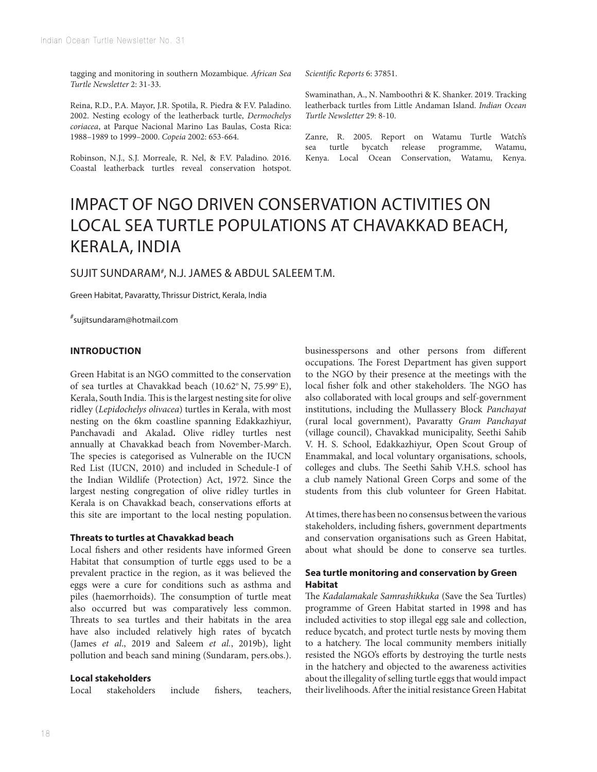tagging and monitoring in southern Mozambique. *African Sea Turtle Newsletter* 2: 31-33.

Reina, R.D., P.A. Mayor, J.R. Spotila, R. Piedra & F.V. Paladino. 2002. Nesting ecology of the leatherback turtle, *Dermochelys coriacea*, at Parque Nacional Marino Las Baulas, Costa Rica: 1988–1989 to 1999–2000. *Copeia* 2002: 653-664.

Robinson, N.J., S.J. Morreale, R. Nel, & F.V. Paladino. 2016. Coastal leatherback turtles reveal conservation hotspot.

*Scientific Reports* 6: 37851.

Swaminathan, A., N. Namboothri & K. Shanker. 2019. Tracking leatherback turtles from Little Andaman Island. *Indian Ocean Turtle Newsletter* 29: 8-10.

Zanre, R. 2005. Report on Watamu Turtle Watch's sea turtle bycatch release programme, Watamu, Kenya. Local Ocean Conservation, Watamu, Kenya.

# IMPACT OF NGO DRIVEN CONSERVATION ACTIVITIES ON LOCAL SEA TURTLE POPULATIONS AT CHAVAKKAD BEACH, KERALA, INDIA

# SUJIT SUNDARAM*#* , N.J. JAMES & ABDUL SALEEM T.M.

Green Habitat, Pavaratty, Thrissur District, Kerala, India

*#* sujitsundaram@hotmail.com

#### **INTRODUCTION**

Green Habitat is an NGO committed to the conservation of sea turtles at Chavakkad beach (10.62° N, 75.99° E), Kerala, South India. This is the largest nesting site for olive ridley (*Lepidochelys olivacea*) turtles in Kerala, with most nesting on the 6km coastline spanning Edakkazhiyur, Panchavadi and Akalad**.** Olive ridley turtles nest annually at Chavakkad beach from November-March. The species is categorised as Vulnerable on the IUCN Red List (IUCN, 2010) and included in Schedule-I of the Indian Wildlife (Protection) Act, 1972. Since the largest nesting congregation of olive ridley turtles in Kerala is on Chavakkad beach, conservations efforts at this site are important to the local nesting population.

#### **Threats to turtles at Chavakkad beach**

Local fishers and other residents have informed Green Habitat that consumption of turtle eggs used to be a prevalent practice in the region, as it was believed the eggs were a cure for conditions such as asthma and piles (haemorrhoids). The consumption of turtle meat also occurred but was comparatively less common. Threats to sea turtles and their habitats in the area have also included relatively high rates of bycatch (James *et al*., 2019 and Saleem *et al.*, 2019b), light pollution and beach sand mining (Sundaram, pers.obs.).

#### **Local stakeholders**

Local stakeholders include fishers, teachers,

businesspersons and other persons from different occupations. The Forest Department has given support to the NGO by their presence at the meetings with the local fisher folk and other stakeholders. The NGO has also collaborated with local groups and self-government institutions, including the Mullassery Block *Panchayat* (rural local government), Pavaratty *Gram Panchayat* (village council), Chavakkad municipality, Seethi Sahib V. H. S. School, Edakkazhiyur, Open Scout Group of Enammakal, and local voluntary organisations, schools, colleges and clubs. The Seethi Sahib V.H.S. school has a club namely National Green Corps and some of the students from this club volunteer for Green Habitat.

At times, there has been no consensus between the various stakeholders, including fishers, government departments and conservation organisations such as Green Habitat, about what should be done to conserve sea turtles.

### **Sea turtle monitoring and conservation by Green Habitat**

The *Kadalamakale Samrashikkuka* (Save the Sea Turtles) programme of Green Habitat started in 1998 and has included activities to stop illegal egg sale and collection, reduce bycatch, and protect turtle nests by moving them to a hatchery. The local community members initially resisted the NGO's efforts by destroying the turtle nests in the hatchery and objected to the awareness activities about the illegality of selling turtle eggs that would impact their livelihoods. After the initial resistance Green Habitat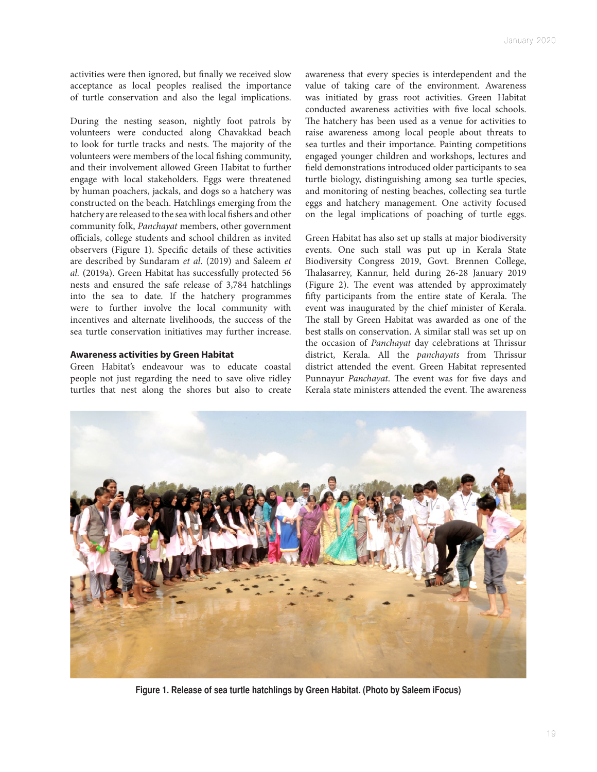activities were then ignored, but finally we received slow acceptance as local peoples realised the importance of turtle conservation and also the legal implications.

During the nesting season, nightly foot patrols by volunteers were conducted along Chavakkad beach to look for turtle tracks and nests. The majority of the volunteers were members of the local fishing community, and their involvement allowed Green Habitat to further engage with local stakeholders. Eggs were threatened by human poachers, jackals, and dogs so a hatchery was constructed on the beach. Hatchlings emerging from the hatchery are released to the sea with local fishers and other community folk, *Panchayat* members, other government officials, college students and school children as invited observers (Figure 1). Specific details of these activities are described by Sundaram *et al*. (2019) and Saleem *et al.* (2019a). Green Habitat has successfully protected 56 nests and ensured the safe release of 3,784 hatchlings into the sea to date. If the hatchery programmes were to further involve the local community with incentives and alternate livelihoods, the success of the sea turtle conservation initiatives may further increase.

#### **Awareness activities by Green Habitat**

Green Habitat's endeavour was to educate coastal people not just regarding the need to save olive ridley turtles that nest along the shores but also to create awareness that every species is interdependent and the value of taking care of the environment. Awareness was initiated by grass root activities. Green Habitat conducted awareness activities with five local schools. The hatchery has been used as a venue for activities to raise awareness among local people about threats to sea turtles and their importance. Painting competitions engaged younger children and workshops, lectures and field demonstrations introduced older participants to sea turtle biology, distinguishing among sea turtle species, and monitoring of nesting beaches, collecting sea turtle eggs and hatchery management. One activity focused on the legal implications of poaching of turtle eggs.

Green Habitat has also set up stalls at major biodiversity events. One such stall was put up in Kerala State Biodiversity Congress 2019, Govt. Brennen College, Thalasarrey, Kannur, held during 26-28 January 2019 (Figure 2). The event was attended by approximately fifty participants from the entire state of Kerala. The event was inaugurated by the chief minister of Kerala. The stall by Green Habitat was awarded as one of the best stalls on conservation. A similar stall was set up on the occasion of *Panchayat* day celebrations at Thrissur district, Kerala. All the *panchayats* from Thrissur district attended the event. Green Habitat represented Punnayur *Panchayat*. The event was for five days and Kerala state ministers attended the event. The awareness



**Figure 1. Release of sea turtle hatchlings by Green Habitat. (Photo by Saleem iFocus)**